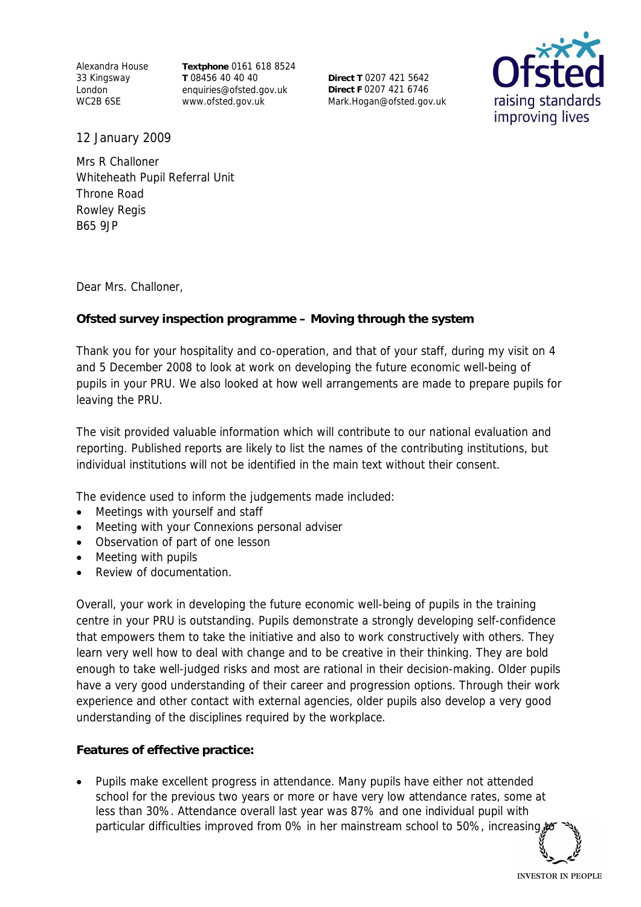Alexandra House 33 Kingsway London WC2B 6SE

**Textphone** 0161 618 8524 **T** 08456 40 40 40 enquiries@ofsted.gov.uk www.ofsted.gov.uk

**Direct T** 0207 421 5642 **Direct F** 0207 421 6746 Mark.Hogan@ofsted.gov.uk



12 January 2009

Mrs R Challoner Whiteheath Pupil Referral Unit Throne Road Rowley Regis B65 9JP

Dear Mrs. Challoner,

**Ofsted survey inspection programme – Moving through the system**

Thank you for your hospitality and co-operation, and that of your staff, during my visit on 4 and 5 December 2008 to look at work on developing the future economic well-being of pupils in your PRU. We also looked at how well arrangements are made to prepare pupils for leaving the PRU.

The visit provided valuable information which will contribute to our national evaluation and reporting. Published reports are likely to list the names of the contributing institutions, but individual institutions will not be identified in the main text without their consent.

The evidence used to inform the judgements made included:

- Meetings with yourself and staff
- Meeting with your Connexions personal adviser
- Observation of part of one lesson
- Meeting with pupils
- Review of documentation.

Overall, your work in developing the future economic well-being of pupils in the training centre in your PRU is outstanding. Pupils demonstrate a strongly developing self-confidence that empowers them to take the initiative and also to work constructively with others. They learn very well how to deal with change and to be creative in their thinking. They are bold enough to take well-judged risks and most are rational in their decision-making. Older pupils have a very good understanding of their career and progression options. Through their work experience and other contact with external agencies, older pupils also develop a very good understanding of the disciplines required by the workplace.

**Features of effective practice:** 

 Pupils make excellent progress in attendance. Many pupils have either not attended school for the previous two years or more or have very low attendance rates, some at less than 30%. Attendance overall last year was 87% and one individual pupil with particular difficulties improved from 0% in her mainstream school to 50%, increasing,

**INVESTOR IN PEOPLE**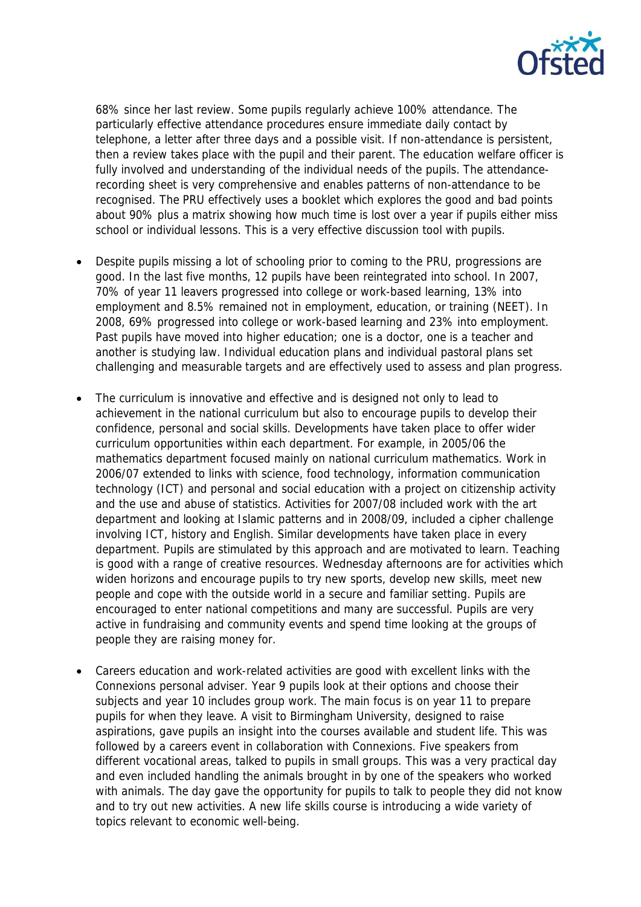

68% since her last review. Some pupils regularly achieve 100% attendance. The particularly effective attendance procedures ensure immediate daily contact by telephone, a letter after three days and a possible visit. If non-attendance is persistent, then a review takes place with the pupil and their parent. The education welfare officer is fully involved and understanding of the individual needs of the pupils. The attendancerecording sheet is very comprehensive and enables patterns of non-attendance to be recognised. The PRU effectively uses a booklet which explores the good and bad points about 90% plus a matrix showing how much time is lost over a year if pupils either miss school or individual lessons. This is a very effective discussion tool with pupils.

- Despite pupils missing a lot of schooling prior to coming to the PRU, progressions are good. In the last five months, 12 pupils have been reintegrated into school. In 2007, 70% of year 11 leavers progressed into college or work-based learning, 13% into employment and 8.5% remained not in employment, education, or training (NEET). In 2008, 69% progressed into college or work-based learning and 23% into employment. Past pupils have moved into higher education; one is a doctor, one is a teacher and another is studying law. Individual education plans and individual pastoral plans set challenging and measurable targets and are effectively used to assess and plan progress.
- The curriculum is innovative and effective and is designed not only to lead to achievement in the national curriculum but also to encourage pupils to develop their confidence, personal and social skills. Developments have taken place to offer wider curriculum opportunities within each department. For example, in 2005/06 the mathematics department focused mainly on national curriculum mathematics. Work in 2006/07 extended to links with science, food technology, information communication technology (ICT) and personal and social education with a project on citizenship activity and the use and abuse of statistics. Activities for 2007/08 included work with the art department and looking at Islamic patterns and in 2008/09, included a cipher challenge involving ICT, history and English. Similar developments have taken place in every department. Pupils are stimulated by this approach and are motivated to learn. Teaching is good with a range of creative resources. Wednesday afternoons are for activities which widen horizons and encourage pupils to try new sports, develop new skills, meet new people and cope with the outside world in a secure and familiar setting. Pupils are encouraged to enter national competitions and many are successful. Pupils are very active in fundraising and community events and spend time looking at the groups of people they are raising money for.
- Careers education and work-related activities are good with excellent links with the Connexions personal adviser. Year 9 pupils look at their options and choose their subjects and year 10 includes group work. The main focus is on year 11 to prepare pupils for when they leave. A visit to Birmingham University, designed to raise aspirations, gave pupils an insight into the courses available and student life. This was followed by a careers event in collaboration with Connexions. Five speakers from different vocational areas, talked to pupils in small groups. This was a very practical day and even included handling the animals brought in by one of the speakers who worked with animals. The day gave the opportunity for pupils to talk to people they did not know and to try out new activities. A new life skills course is introducing a wide variety of topics relevant to economic well-being.